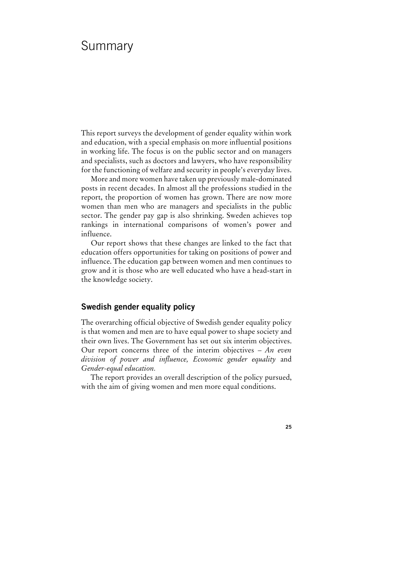# Summary

This report surveys the development of gender equality within work and education, with a special emphasis on more influential positions in working life. The focus is on the public sector and on managers and specialists, such as doctors and lawyers, who have responsibility for the functioning of welfare and security in people's everyday lives.

More and more women have taken up previously male-dominated posts in recent decades. In almost all the professions studied in the report, the proportion of women has grown. There are now more women than men who are managers and specialists in the public sector. The gender pay gap is also shrinking. Sweden achieves top rankings in international comparisons of women's power and influence.

Our report shows that these changes are linked to the fact that education offers opportunities for taking on positions of power and influence. The education gap between women and men continues to grow and it is those who are well educated who have a head-start in the knowledge society.

# **Swedish gender equality policy**

The overarching official objective of Swedish gender equality policy is that women and men are to have equal power to shape society and their own lives. The Government has set out six interim objectives. Our report concerns three of the interim objectives – *An even division of power and influence, Economic gender equality* and *Gender-equal education.*

The report provides an overall description of the policy pursued, with the aim of giving women and men more equal conditions.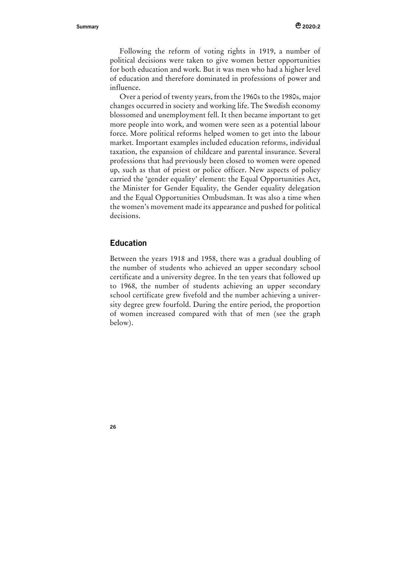Following the reform of voting rights in 1919, a number of political decisions were taken to give women better opportunities for both education and work. But it was men who had a higher level of education and therefore dominated in professions of power and influence.

Over a period of twenty years, from the 1960s to the 1980s, major changes occurred in society and working life. The Swedish economy blossomed and unemployment fell. It then became important to get more people into work, and women were seen as a potential labour force. More political reforms helped women to get into the labour market. Important examples included education reforms, individual taxation, the expansion of childcare and parental insurance. Several professions that had previously been closed to women were opened up, such as that of priest or police officer. New aspects of policy carried the 'gender equality' element: the Equal Opportunities Act, the Minister for Gender Equality, the Gender equality delegation and the Equal Opportunities Ombudsman. It was also a time when the women's movement made its appearance and pushed for political decisions.

## **Education**

Between the years 1918 and 1958, there was a gradual doubling of the number of students who achieved an upper secondary school certificate and a university degree. In the ten years that followed up to 1968, the number of students achieving an upper secondary school certificate grew fivefold and the number achieving a university degree grew fourfold. During the entire period, the proportion of women increased compared with that of men (see the graph below).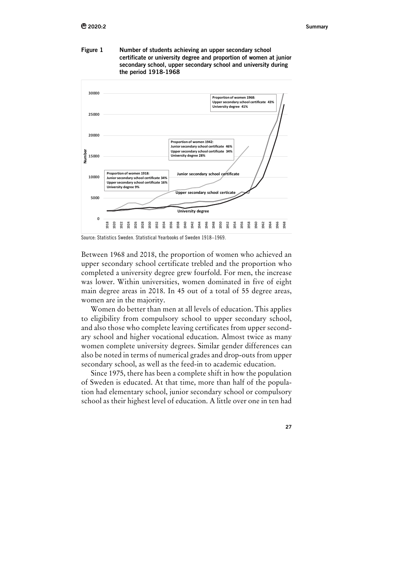**Figure 1 Number of students achieving an upper secondary school certificate or university degree and proportion of women at junior secondary school, upper secondary school and university during the period 1918-1968** 



Source: Statistics Sweden. Statistical Yearbooks of Sweden 1918–1969.

Between 1968 and 2018, the proportion of women who achieved an upper secondary school certificate trebled and the proportion who completed a university degree grew fourfold. For men, the increase was lower. Within universities, women dominated in five of eight main degree areas in 2018. In 45 out of a total of 55 degree areas, women are in the majority.

Women do better than men at all levels of education. This applies to eligibility from compulsory school to upper secondary school, and also those who complete leaving certificates from upper secondary school and higher vocational education. Almost twice as many women complete university degrees. Similar gender differences can also be noted in terms of numerical grades and drop-outs from upper secondary school, as well as the feed-in to academic education.

Since 1975, there has been a complete shift in how the population of Sweden is educated. At that time, more than half of the population had elementary school, junior secondary school or compulsory school as their highest level of education. A little over one in ten had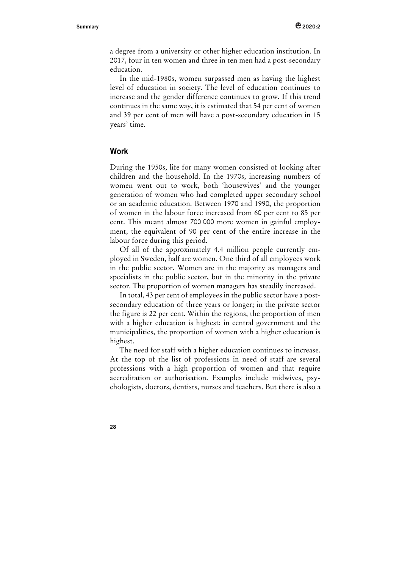a degree from a university or other higher education institution. In 2017, four in ten women and three in ten men had a post-secondary education.

In the mid-1980s, women surpassed men as having the highest level of education in society. The level of education continues to increase and the gender difference continues to grow. If this trend continues in the same way, it is estimated that 54 per cent of women and 39 per cent of men will have a post-secondary education in 15 years' time.

#### **Work**

During the 1950s, life for many women consisted of looking after children and the household. In the 1970s, increasing numbers of women went out to work, both 'housewives' and the younger generation of women who had completed upper secondary school or an academic education. Between 1970 and 1990, the proportion of women in the labour force increased from 60 per cent to 85 per cent. This meant almost 700 000 more women in gainful employment, the equivalent of 90 per cent of the entire increase in the labour force during this period.

Of all of the approximately 4.4 million people currently employed in Sweden, half are women. One third of all employees work in the public sector. Women are in the majority as managers and specialists in the public sector, but in the minority in the private sector. The proportion of women managers has steadily increased.

In total, 43 per cent of employees in the public sector have a postsecondary education of three years or longer; in the private sector the figure is 22 per cent. Within the regions, the proportion of men with a higher education is highest; in central government and the municipalities, the proportion of women with a higher education is highest.

The need for staff with a higher education continues to increase. At the top of the list of professions in need of staff are several professions with a high proportion of women and that require accreditation or authorisation. Examples include midwives, psychologists, doctors, dentists, nurses and teachers. But there is also a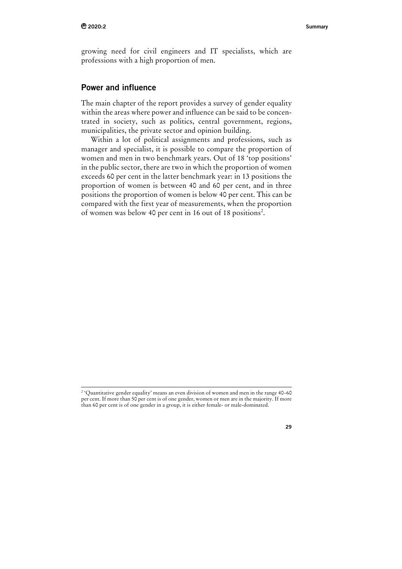growing need for civil engineers and IT specialists, which are professions with a high proportion of men.

# **Power and influence**

The main chapter of the report provides a survey of gender equality within the areas where power and influence can be said to be concentrated in society, such as politics, central government, regions, municipalities, the private sector and opinion building.

Within a lot of political assignments and professions, such as manager and specialist, it is possible to compare the proportion of women and men in two benchmark years. Out of 18 'top positions' in the public sector, there are two in which the proportion of women exceeds 60 per cent in the latter benchmark year: in 13 positions the proportion of women is between 40 and 60 per cent, and in three positions the proportion of women is below 40 per cent. This can be compared with the first year of measurements, when the proportion of women was below 40 per cent in 16 out of 18 positions<sup>2</sup>.

<sup>2 &#</sup>x27;Quantitative gender equality' means an even division of women and men in the range 40–60 per cent. If more than 50 per cent is of one gender, women or men are in the majority. If more than 60 per cent is of one gender in a group, it is either female- or male-dominated.

**<sup>29</sup>**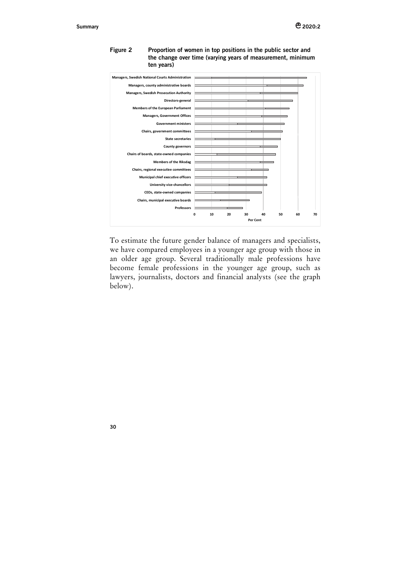

**Figure 2 Proportion of women in top positions in the public sector and the change over time (varying years of measurement, minimum ten years)** 

To estimate the future gender balance of managers and specialists, we have compared employees in a younger age group with those in an older age group. Several traditionally male professions have become female professions in the younger age group, such as lawyers, journalists, doctors and financial analysts (see the graph below).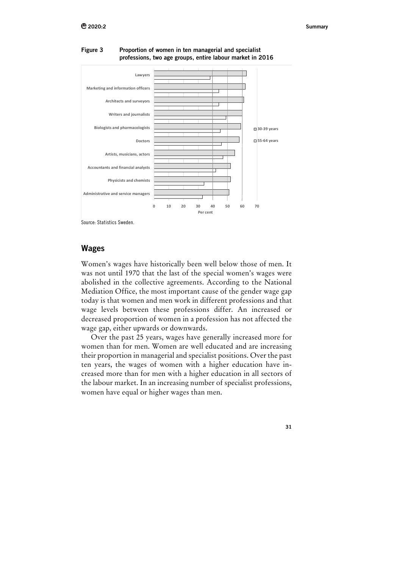

Figure 3 Proportion of women in ten managerial and specialist professions, two age groups, entire labour market in 2016

Source: Statistics Sweden.

### **Wages**

Women's wages have historically been well below those of men. It was not until 1970 that the last of the special women's wages were abolished in the collective agreements. According to the National Mediation Office, the most important cause of the gender wage gap today is that women and men work in different professions and that wage levels between these professions differ. An increased or decreased proportion of women in a profession has not affected the wage gap, either upwards or downwards.

Over the past 25 years, wages have generally increased more for women than for men. Women are well educated and are increasing their proportion in managerial and specialist positions. Over the past ten years, the wages of women with a higher education have increased more than for men with a higher education in all sectors of the labour market. In an increasing number of specialist professions, women have equal or higher wages than men.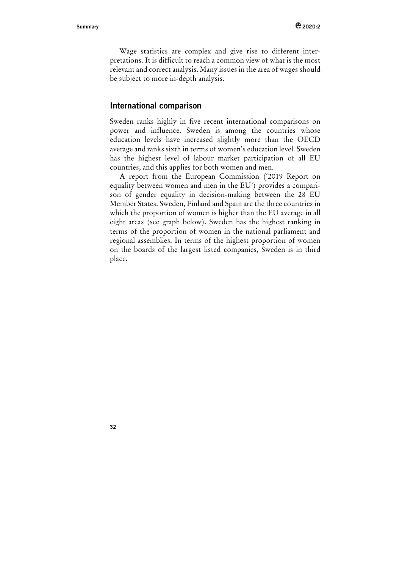Wage statistics are complex and give rise to different interpretations. It is difficult to reach a common view of what is the most relevant and correct analysis. Many issues in the area of wages should be subject to more in-depth analysis.

### **International comparison**

Sweden ranks highly in five recent international comparisons on power and influence. Sweden is among the countries whose education levels have increased slightly more than the OECD average and ranks sixth in terms of women's education level. Sweden has the highest level of labour market participation of all EU countries, and this applies for both women and men.

A report from the European Commission ('2019 Report on equality between women and men in the EU') provides a comparison of gender equality in decision-making between the 28 EU Member States. Sweden, Finland and Spain are the three countries in which the proportion of women is higher than the EU average in all eight areas (see graph below). Sweden has the highest ranking in terms of the proportion of women in the national parliament and regional assemblies. In terms of the highest proportion of women on the boards of the largest listed companies, Sweden is in third place.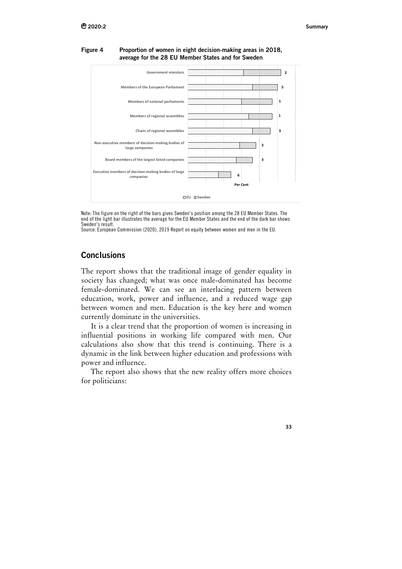

#### Figure 4 Proportion of women in eight decision-making areas in 2018, average for the 28 EU Member States and for Sweden

Note: The figure on the right of the bars gives Sweden's position among the 28 EU Member States. The end of the light bar illustrates the average for the EU Member States and the end of the dark bar shows Sweden's result.

Source: European Commission (2020), 2019 Report on equity between women and men in the EU.

# **Conclusions**

The report shows that the traditional image of gender equality in society has changed; what was once male-dominated has become female-dominated. We can see an interlacing pattern between education, work, power and influence, and a reduced wage gap between women and men. Education is the key here and women currently dominate in the universities.

It is a clear trend that the proportion of women is increasing in influential positions in working life compared with men. Our calculations also show that this trend is continuing. There is a dynamic in the link between higher education and professions with power and influence.

The report also shows that the new reality offers more choices for politicians: